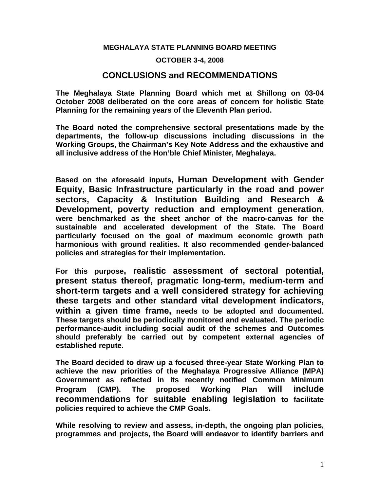## **MEGHALAYA STATE PLANNING BOARD MEETING**

## **OCTOBER 3-4, 2008**

## **CONCLUSIONS and RECOMMENDATIONS**

**The Meghalaya State Planning Board which met at Shillong on 03-04 October 2008 deliberated on the core areas of concern for holistic State Planning for the remaining years of the Eleventh Plan period.** 

**The Board noted the comprehensive sectoral presentations made by the departments, the follow-up discussions including discussions in the Working Groups, the Chairman's Key Note Address and the exhaustive and all inclusive address of the Hon'ble Chief Minister, Meghalaya.** 

**Based on the aforesaid inputs, Human Development with Gender Equity, Basic Infrastructure particularly in the road and power sectors, Capacity & Institution Building and Research & Development, poverty reduction and employment generation, were benchmarked as the sheet anchor of the macro-canvas for the sustainable and accelerated development of the State. The Board particularly focused on the goal of maximum economic growth path harmonious with ground realities. It also recommended gender-balanced policies and strategies for their implementation.** 

**For this purpose, realistic assessment of sectoral potential, present status thereof, pragmatic long-term, medium-term and short-term targets and a well considered strategy for achieving these targets and other standard vital development indicators, within a given time frame, needs to be adopted and documented. These targets should be periodically monitored and evaluated. The periodic performance-audit including social audit of the schemes and Outcomes should preferably be carried out by competent external agencies of established repute.** 

**The Board decided to draw up a focused three-year State Working Plan to achieve the new priorities of the Meghalaya Progressive Alliance (MPA) Government as reflected in its recently notified Common Minimum Program (CMP). The proposed Working Plan will include recommendations for suitable enabling legislation to facilitate policies required to achieve the CMP Goals.** 

**While resolving to review and assess, in-depth, the ongoing plan policies, programmes and projects, the Board will endeavor to identify barriers and**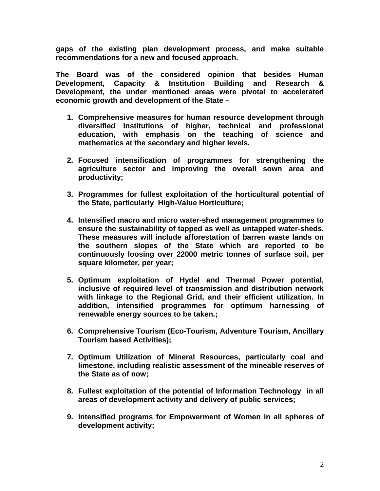**gaps of the existing plan development process, and make suitable recommendations for a new and focused approach.** 

**The Board was of the considered opinion that besides Human Development, Capacity & Institution Building and Research & Development, the under mentioned areas were pivotal to accelerated economic growth and development of the State –** 

- **1. Comprehensive measures for human resource development through diversified Institutions of higher, technical and professional education, with emphasis on the teaching of science and mathematics at the secondary and higher levels.**
- **2. Focused intensification of programmes for strengthening the agriculture sector and improving the overall sown area and productivity;**
- **3. Programmes for fullest exploitation of the horticultural potential of the State, particularly High-Value Horticulture;**
- **4. Intensified macro and micro water-shed management programmes to ensure the sustainability of tapped as well as untapped water-sheds. These measures will include afforestation of barren waste lands on the southern slopes of the State which are reported to be continuously loosing over 22000 metric tonnes of surface soil, per square kilometer, per year;**
- **5. Optimum exploitation of Hydel and Thermal Power potential, inclusive of required level of transmission and distribution network with linkage to the Regional Grid, and their efficient utilization. In addition, intensified programmes for optimum harnessing of renewable energy sources to be taken.;**
- **6. Comprehensive Tourism (Eco-Tourism, Adventure Tourism, Ancillary Tourism based Activities);**
- **7. Optimum Utilization of Mineral Resources, particularly coal and limestone, including realistic assessment of the mineable reserves of the State as of now;**
- **8. Fullest exploitation of the potential of Information Technology in all areas of development activity and delivery of public services;**
- **9. Intensified programs for Empowerment of Women in all spheres of development activity;**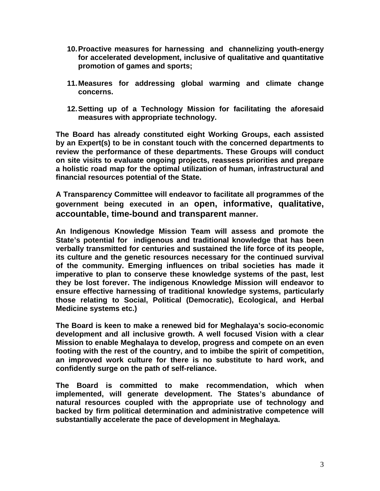- **10. Proactive measures for harnessing and channelizing youth-energy for accelerated development, inclusive of qualitative and quantitative promotion of games and sports;**
- **11. Measures for addressing global warming and climate change concerns.**
- **12. Setting up of a Technology Mission for facilitating the aforesaid measures with appropriate technology.**

**The Board has already constituted eight Working Groups, each assisted by an Expert(s) to be in constant touch with the concerned departments to review the performance of these departments. These Groups will conduct on site visits to evaluate ongoing projects, reassess priorities and prepare a holistic road map for the optimal utilization of human, infrastructural and financial resources potential of the State.** 

**A Transparency Committee will endeavor to facilitate all programmes of the government being executed in an open, informative, qualitative, accountable, time-bound and transparent manner.** 

**An Indigenous Knowledge Mission Team will assess and promote the State's potential for indigenous and traditional knowledge that has been verbally transmitted for centuries and sustained the life force of its people, its culture and the genetic resources necessary for the continued survival of the community. Emerging influences on tribal societies has made it imperative to plan to conserve these knowledge systems of the past, lest they be lost forever. The indigenous Knowledge Mission will endeavor to ensure effective harnessing of traditional knowledge systems, particularly those relating to Social, Political (Democratic), Ecological, and Herbal Medicine systems etc.)** 

**The Board is keen to make a renewed bid for Meghalaya's socio-economic development and all inclusive growth. A well focused Vision with a clear Mission to enable Meghalaya to develop, progress and compete on an even footing with the rest of the country, and to imbibe the spirit of competition, an improved work culture for there is no substitute to hard work, and confidently surge on the path of self-reliance.** 

**The Board is committed to make recommendation, which when implemented, will generate development. The States's abundance of natural resources coupled with the appropriate use of technology and backed by firm political determination and administrative competence will substantially accelerate the pace of development in Meghalaya.**